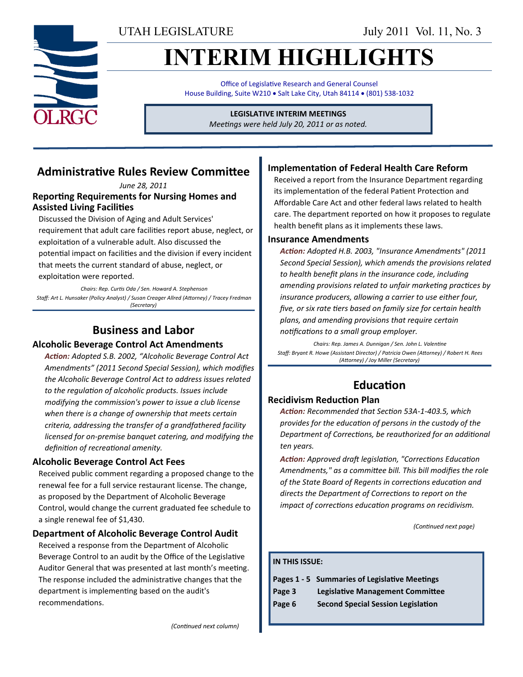UTAH LEGISLATURE July 2011 Vol. 11, No. 3

# **INTERIM HIGHLIGHTS**

Office of Legislative Research and General Counsel House Building, Suite W210 . Salt Lake City, Utah 84114 . (801) 538-1032

#### **LEGISLATIVE INTERIM MEETINGS**

*Meetings were held July 20, 2011 or as noted.*

### **Administrative Rules Review Committee**

*June 28, 2011* **Reporting Requirements for Nursing Homes and Assisted Living Facilities**

Discussed the Division of Aging and Adult Services' requirement that adult care facilities report abuse, neglect, or exploitation of a vulnerable adult. Also discussed the potential impact on facilities and the division if every incident that meets the current standard of abuse, neglect, or exploitation were reported.

*Chairs: Rep. Curtis Oda / Sen. Howard A. Stephenson Staff: Art L. Hunsaker (Policy Analyst) / Susan Creager Allred (Attorney) / Tracey Fredman (Secretary)*

### **Business and Labor**

#### **Alcoholic Beverage Control Act Amendments**

*Action: Adopted S.B. 2002, "Alcoholic Beverage Control Act Amendments" (2011 Second Special Session), which modifies the Alcoholic Beverage Control Act to address issues related to the regulation of alcoholic products. Issues include modifying the commission's power to issue a club license when there is a change of ownership that meets certain criteria, addressing the transfer of a grandfathered facility licensed for on-premise banquet catering, and modifying the definition of recreational amenity.*

#### **Alcoholic Beverage Control Act Fees**

Received public comment regarding a proposed change to the renewal fee for a full service restaurant license. The change, as proposed by the Department of Alcoholic Beverage Control, would change the current graduated fee schedule to a single renewal fee of \$1,430.

#### **Department of Alcoholic Beverage Control Audit**

Received a response from the Department of Alcoholic Beverage Control to an audit by the Office of the Legislative Auditor General that was presented at last month's meeting. The response included the administrative changes that the department is implementing based on the audit's recommendations.

#### **Implementation of Federal Health Care Reform**

Received a report from the Insurance Department regarding its implementation of the federal Patient Protection and Affordable Care Act and other federal laws related to health care. The department reported on how it proposes to regulate health benefit plans as it implements these laws.

#### **Insurance Amendments**

*Action: Adopted H.B. 2003, "Insurance Amendments" (2011 Second Special Session), which amends the provisions related to health benefit plans in the insurance code, including amending provisions related to unfair marketing practices by insurance producers, allowing a carrier to use either four, five, or six rate tiers based on family size for certain health plans, and amending provisions that require certain notifications to a small group employer.*

*Chairs: Rep. James A. Dunnigan / Sen. John L. Valentine Staff: Bryant R. Howe (Assistant Director) / Patricia Owen (Attorney) / Robert H. Rees (Attorney) / Joy Miller (Secretary)*

### **Education**

#### **Recidivism Reduction Plan**

*Action: Recommended that Section 53A-1-403.5, which provides for the education of persons in the custody of the Department of Corrections, be reauthorized for an additional ten years.* 

*Action: Approved draft legislation, "Corrections Education Amendments," as a committee bill. This bill modifies the role of the State Board of Regents in corrections education and directs the Department of Corrections to report on the impact of corrections education programs on recidivism.*

*(Continued next page)*

#### **IN THIS ISSUE:**

|  | Pages 1 - 5 Summaries of Legislative Meetings |
|--|-----------------------------------------------|
|--|-----------------------------------------------|

- **Page 3 Legislative Management Committee**
- **Page 6 Second Special Session Legislation**

*(Continued next column)*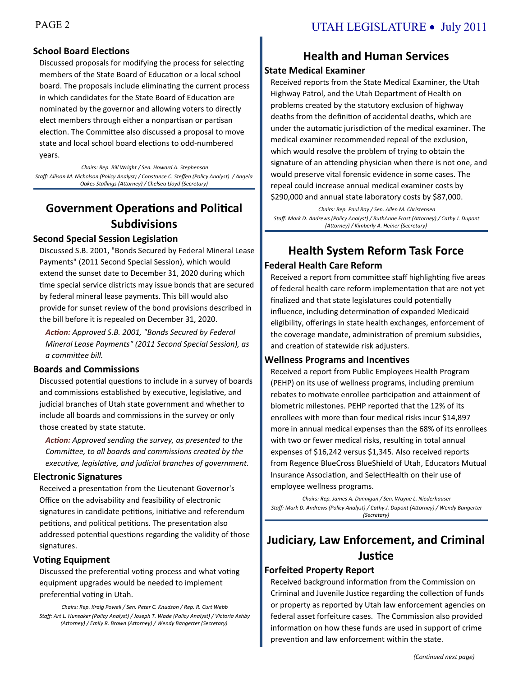#### **School Board Elections**

Discussed proposals for modifying the process for selecting members of the State Board of Education or a local school board. The proposals include eliminating the current process in which candidates for the State Board of Education are nominated by the governor and allowing voters to directly elect members through either a nonpartisan or partisan election. The Committee also discussed a proposal to move state and local school board elections to odd-numbered years.

*Chairs: Rep. Bill Wright / Sen. Howard A. Stephenson Staff: Allison M. Nicholson (Policy Analyst) / Constance C. Steffen (Policy Analyst) / Angela Oakes Stallings (Attorney) / Chelsea Lloyd (Secretary)*

## **Government Operations and Political Subdivisions**

#### **Second Special Session Legislation**

Discussed S.B. 2001, "Bonds Secured by Federal Mineral Lease Payments" (2011 Second Special Session), which would extend the sunset date to December 31, 2020 during which time special service districts may issue bonds that are secured by federal mineral lease payments. This bill would also provide for sunset review of the bond provisions described in the bill before it is repealed on December 31, 2020.

*Action: Approved S.B. 2001, "Bonds Secured by Federal Mineral Lease Payments" (2011 Second Special Session), as a committee bill.*

#### **Boards and Commissions**

Discussed potential questions to include in a survey of boards and commissions established by executive, legislative, and judicial branches of Utah state government and whether to include all boards and commissions in the survey or only those created by state statute.

*Action: Approved sending the survey, as presented to the Committee, to all boards and commissions created by the executive, legislative, and judicial branches of government.*

#### **Electronic Signatures**

Received a presentation from the Lieutenant Governor's Office on the advisability and feasibility of electronic signatures in candidate petitions, initiative and referendum petitions, and political petitions. The presentation also addressed potential questions regarding the validity of those signatures.

#### **Voting Equipment**

Discussed the preferential voting process and what voting equipment upgrades would be needed to implement preferential voting in Utah.

*Chairs: Rep. Kraig Powell / Sen. Peter C. Knudson / Rep. R. Curt Webb Staff: Art L. Hunsaker (Policy Analyst) / Joseph T. Wade (Policy Analyst) / Victoria Ashby (Attorney) / Emily R. Brown (Attorney) / Wendy Bangerter (Secretary)*

# **Health and Human Services**

### **State Medical Examiner**

Received reports from the State Medical Examiner, the Utah Highway Patrol, and the Utah Department of Health on problems created by the statutory exclusion of highway deaths from the definition of accidental deaths, which are under the automatic jurisdiction of the medical examiner. The medical examiner recommended repeal of the exclusion, which would resolve the problem of trying to obtain the signature of an attending physician when there is not one, and would preserve vital forensic evidence in some cases. The repeal could increase annual medical examiner costs by \$290,000 and annual state laboratory costs by \$87,000.

*Chairs: Rep. Paul Ray / Sen. Allen M. Christensen Staff: Mark D. Andrews (Policy Analyst) / RuthAnne Frost (Attorney) / Cathy J. Dupont (Attorney) / Kimberly A. Heiner (Secretary)*

### **Health System Reform Task Force Federal Health Care Reform**

Received a report from committee staff highlighting five areas of federal health care reform implementation that are not yet finalized and that state legislatures could potentially influence, including determination of expanded Medicaid eligibility, offerings in state health exchanges, enforcement of the coverage mandate, administration of premium subsidies, and creation of statewide risk adjusters.

#### **Wellness Programs and Incentives**

Received a report from Public Employees Health Program (PEHP) on its use of wellness programs, including premium rebates to motivate enrollee participation and attainment of biometric milestones. PEHP reported that the 12% of its enrollees with more than four medical risks incur \$14,897 more in annual medical expenses than the 68% of its enrollees with two or fewer medical risks, resulting in total annual expenses of \$16,242 versus \$1,345. Also received reports from Regence BlueCross BlueShield of Utah, Educators Mutual Insurance Association, and SelectHealth on their use of employee wellness programs.

*Chairs: Rep. James A. Dunnigan / Sen. Wayne L. Niederhauser Staff: Mark D. Andrews (Policy Analyst) / Cathy J. Dupont (Attorney) / Wendy Bangerter (Secretary)*

## **Judiciary, Law Enforcement, and Criminal Justice**

#### **Forfeited Property Report**

Received background information from the Commission on Criminal and Juvenile Justice regarding the collection of funds or property as reported by Utah law enforcement agencies on federal asset forfeiture cases. The Commission also provided information on how these funds are used in support of crime prevention and law enforcement within the state.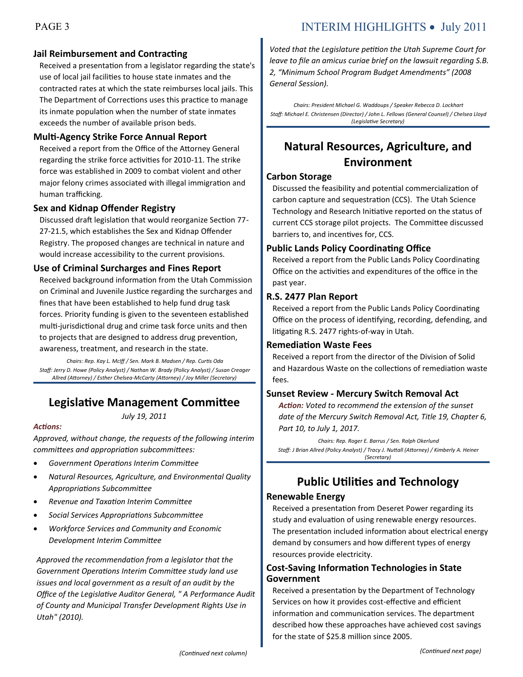#### **Jail Reimbursement and Contracting**

Received a presentation from a legislator regarding the state's use of local jail facilities to house state inmates and the contracted rates at which the state reimburses local jails. This The Department of Corrections uses this practice to manage its inmate population when the number of state inmates exceeds the number of available prison beds.

#### **Multi-Agency Strike Force Annual Report**

Received a report from the Office of the Attorney General regarding the strike force activities for 2010-11. The strike force was established in 2009 to combat violent and other major felony crimes associated with illegal immigration and human trafficking.

#### **Sex and Kidnap Offender Registry**

Discussed draft legislation that would reorganize Section 77- 27-21.5, which establishes the Sex and Kidnap Offender Registry. The proposed changes are technical in nature and would increase accessibility to the current provisions.

#### **Use of Criminal Surcharges and Fines Report**

Received background information from the Utah Commission on Criminal and Juvenile Justice regarding the surcharges and fines that have been established to help fund drug task forces. Priority funding is given to the seventeen established multi-jurisdictional drug and crime task force units and then to projects that are designed to address drug prevention, awareness, treatment, and research in the state.

*Chairs: Rep. Kay L. McIff / Sen. Mark B. Madsen / Rep. Curtis Oda Staff: Jerry D. Howe (Policy Analyst) / Nathan W. Brady (Policy Analyst) / Susan Creager Allred (Attorney) / Esther Chelsea-McCarty (Attorney) / Joy Miller (Secretary)*

### **Legislative Management Committee**

*July 19, 2011*

#### *Actions:*

*Approved, without change, the requests of the following interim committees and appropriation subcommittees:*

- *Government Operations Interim Committee*
- *Natural Resources, Agriculture, and Environmental Quality Appropriations Subcommittee*
- *Revenue and Taxation Interim Committee*
- *Social Services Appropriations Subcommittee*
- *Workforce Services and Community and Economic Development Interim Committee*

*Approved the recommendation from a legislator that the Government Operations Interim Committee study land use issues and local government as a result of an audit by the Office of the Legislative Auditor General, " A Performance Audit of County and Municipal Transfer Development Rights Use in Utah" (2010).* 

### PAGE 3 INTERIM HIGHLIGHTS • July 2011

*Voted that the Legislature petition the Utah Supreme Court for leave to file an amicus curiae brief on the lawsuit regarding S.B. 2, "Minimum School Program Budget Amendments" (2008 General Session).* 

*Chairs: President Michael G. Waddoups / Speaker Rebecca D. Lockhart Staff: Michael E. Christensen (Director) / John L. Fellows (General Counsel) / Chelsea Lloyd (Legislative Secretary)*

### **Natural Resources, Agriculture, and Environment**

#### **Carbon Storage**

Discussed the feasibility and potential commercialization of carbon capture and sequestration (CCS). The Utah Science Technology and Research Initiative reported on the status of current CCS storage pilot projects. The Committee discussed barriers to, and incentives for, CCS.

#### **Public Lands Policy Coordinating Office**

Received a report from the Public Lands Policy Coordinating Office on the activities and expenditures of the office in the past year.

#### **R.S. 2477 Plan Report**

Received a report from the Public Lands Policy Coordinating Office on the process of identifying, recording, defending, and litigating R.S. 2477 rights-of-way in Utah.

#### **Remediation Waste Fees**

Received a report from the director of the Division of Solid and Hazardous Waste on the collections of remediation waste fees.

#### **Sunset Review - Mercury Switch Removal Act**

*Action: Voted to recommend the extension of the sunset date of the Mercury Switch Removal Act, Title 19, Chapter 6, Part 10, to July 1, 2017.*

*Chairs: Rep. Roger E. Barrus / Sen. Ralph Okerlund Staff: J Brian Allred (Policy Analyst) / Tracy J. Nuttall (Attorney) / Kimberly A. Heiner (Secretary)*

### **Public Utilities and Technology**

#### **Renewable Energy**

Received a presentation from Deseret Power regarding its study and evaluation of using renewable energy resources. The presentation included information about electrical energy demand by consumers and how different types of energy resources provide electricity.

#### **Cost-Saving Information Technologies in State Government**

Received a presentation by the Department of Technology Services on how it provides cost-effective and efficient information and communication services. The department described how these approaches have achieved cost savings for the state of \$25.8 million since 2005.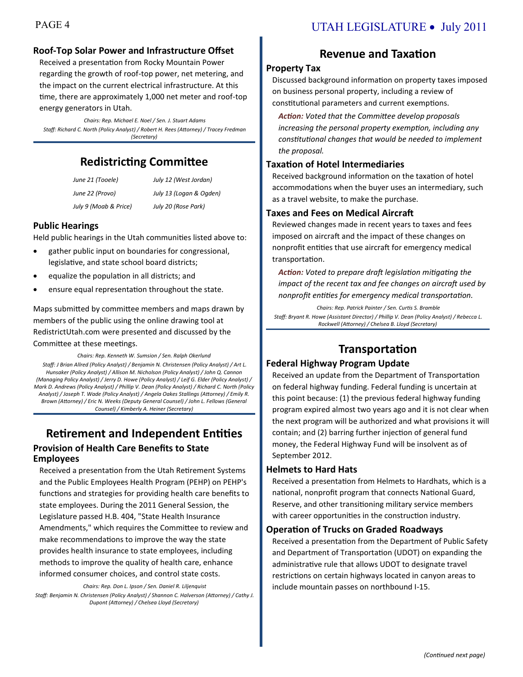#### **Roof-Top Solar Power and Infrastructure Offset**

Received a presentation from Rocky Mountain Power regarding the growth of roof-top power, net metering, and the impact on the current electrical infrastructure. At this time, there are approximately 1,000 net meter and roof-top energy generators in Utah.

*Chairs: Rep. Michael E. Noel / Sen. J. Stuart Adams Staff: Richard C. North (Policy Analyst) / Robert H. Rees (Attorney) / Tracey Fredman (Secretary)*

### **Redistricting Committee**

| June 21 (Tooele)      | July 12 (West Jordan)   |
|-----------------------|-------------------------|
| June 22 (Provo)       | July 13 (Logan & Ogden) |
| July 9 (Moab & Price) | July 20 (Rose Park)     |

#### **Public Hearings**

Held public hearings in the Utah communities listed above to:

- gather public input on boundaries for congressional, legislative, and state school board districts;
- equalize the population in all districts; and
- ensure equal representation throughout the state.

Maps submitted by committee members and maps drawn by members of the public using the online drawing tool at RedistrictUtah.com were presented and discussed by the Committee at these meetings.

*Chairs: Rep. Kenneth W. Sumsion / Sen. Ralph Okerlund Staff: J Brian Allred (Policy Analyst) / Benjamin N. Christensen (Policy Analyst) / Art L. Hunsaker (Policy Analyst) / Allison M. Nicholson (Policy Analyst) / John Q. Cannon (Managing Policy Analyst) / Jerry D. Howe (Policy Analyst) / Leif G. Elder (Policy Analyst) / Mark D. Andrews (Policy Analyst) / Phillip V. Dean (Policy Analyst) / Richard C. North (Policy Analyst) / Joseph T. Wade (Policy Analyst) / Angela Oakes Stallings (Attorney) / Emily R. Brown (Attorney) / Eric N. Weeks (Deputy General Counsel) / John L. Fellows (General Counsel) / Kimberly A. Heiner (Secretary)*

#### **Retirement and Independent Entities Provision of Health Care Benefits to State Employees**

Received a presentation from the Utah Retirement Systems and the Public Employees Health Program (PEHP) on PEHP's functions and strategies for providing health care benefits to state employees. During the 2011 General Session, the Legislature passed H.B. 404, "State Health Insurance Amendments," which requires the Committee to review and make recommendations to improve the way the state provides health insurance to state employees, including methods to improve the quality of health care, enhance informed consumer choices, and control state costs.

*Chairs: Rep. Don L. Ipson / Sen. Daniel R. Liljenquist Staff: Benjamin N. Christensen (Policy Analyst) / Shannon C. Halverson (Attorney) / Cathy J. Dupont (Attorney) / Chelsea Lloyd (Secretary)*

### PAGE 4 UTAH LEGISLATURE • July 2011

### **Revenue and Taxation**

#### **Property Tax**

Discussed background information on property taxes imposed on business personal property, including a review of constitutional parameters and current exemptions.

*Action: Voted that the Committee develop proposals increasing the personal property exemption, including any constitutional changes that would be needed to implement the proposal.*

#### **Taxation of Hotel Intermediaries**

Received background information on the taxation of hotel accommodations when the buyer uses an intermediary, such as a travel website, to make the purchase.

#### **Taxes and Fees on Medical Aircraft**

Reviewed changes made in recent years to taxes and fees imposed on aircraft and the impact of these changes on nonprofit entities that use aircraft for emergency medical transportation.

*Action: Voted to prepare draft legislation mitigating the impact of the recent tax and fee changes on aircraft used by nonprofit entities for emergency medical transportation.*

*Chairs: Rep. Patrick Painter / Sen. Curtis S. Bramble Staff: Bryant R. Howe (Assistant Director) / Phillip V. Dean (Policy Analyst) / Rebecca L. Rockwell (Attorney) / Chelsea B. Lloyd (Secretary)*

### **Transportation**

#### **Federal Highway Program Update**

Received an update from the Department of Transportation on federal highway funding. Federal funding is uncertain at this point because: (1) the previous federal highway funding program expired almost two years ago and it is not clear when the next program will be authorized and what provisions it will contain; and (2) barring further injection of general fund money, the Federal Highway Fund will be insolvent as of September 2012.

#### **Helmets to Hard Hats**

Received a presentation from Helmets to Hardhats, which is a national, nonprofit program that connects National Guard, Reserve, and other transitioning military service members with career opportunities in the construction industry.

#### **Operation of Trucks on Graded Roadways**

Received a presentation from the Department of Public Safety and Department of Transportation (UDOT) on expanding the administrative rule that allows UDOT to designate travel restrictions on certain highways located in canyon areas to include mountain passes on northbound I-15.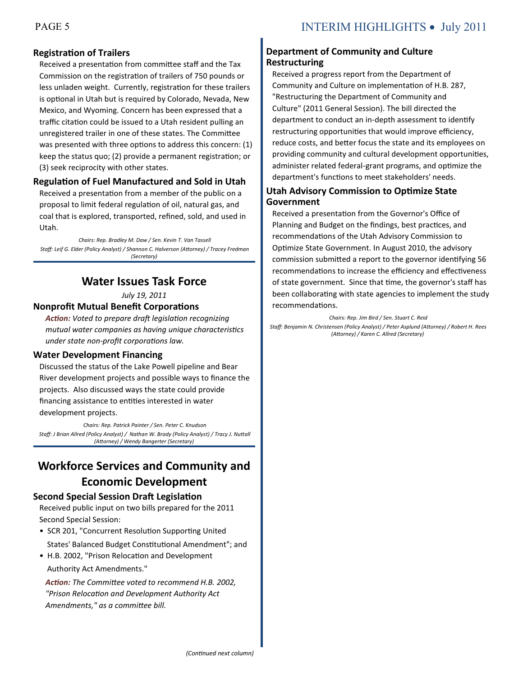#### **Registration of Trailers**

Received a presentation from committee staff and the Tax Commission on the registration of trailers of 750 pounds or less unladen weight. Currently, registration for these trailers is optional in Utah but is required by Colorado, Nevada, New Mexico, and Wyoming. Concern has been expressed that a traffic citation could be issued to a Utah resident pulling an unregistered trailer in one of these states. The Committee was presented with three options to address this concern: (1) keep the status quo; (2) provide a permanent registration; or (3) seek reciprocity with other states.

#### **Regulation of Fuel Manufactured and Sold in Utah**

Received a presentation from a member of the public on a proposal to limit federal regulation of oil, natural gas, and coal that is explored, transported, refined, sold, and used in Utah.

*Chairs: Rep. Bradley M. Daw / Sen. Kevin T. Van Tassell Staff: Leif G. Elder (Policy Analyst) / Shannon C. Halverson (Attorney) / Tracey Fredman (Secretary)*

### **Water Issues Task Force**

*July 19, 2011*

#### **Nonprofit Mutual Benefit Corporations**

*Action: Voted to prepare draft legislation recognizing mutual water companies as having unique characteristics under state non-profit corporations law.*

#### **Water Development Financing**

Discussed the status of the Lake Powell pipeline and Bear River development projects and possible ways to finance the projects. Also discussed ways the state could provide financing assistance to entities interested in water development projects.

*Chairs: Rep. Patrick Painter / Sen. Peter C. Knudson Staff: J Brian Allred (Policy Analyst) / Nathan W. Brady (Policy Analyst) / Tracy J. Nuttall (Attorney) / Wendy Bangerter (Secretary)*

### **Workforce Services and Community and Economic Development**

#### **Second Special Session Draft Legislation**

Received public input on two bills prepared for the 2011 Second Special Session:

- SCR 201, "Concurrent Resolution Supporting United States' Balanced Budget Constitutional Amendment"; and
- H.B. 2002, "Prison Relocation and Development Authority Act Amendments."

*Action: The Committee voted to recommend H.B. 2002, "Prison Relocation and Development Authority Act Amendments," as a committee bill.*

#### **Department of Community and Culture Restructuring**

Received a progress report from the Department of Community and Culture on implementation of H.B. 287, "Restructuring the Department of Community and Culture" (2011 General Session). The bill directed the department to conduct an in-depth assessment to identify restructuring opportunities that would improve efficiency, reduce costs, and better focus the state and its employees on providing community and cultural development opportunities, administer related federal-grant programs, and optimize the department's functions to meet stakeholders' needs.

#### **Utah Advisory Commission to Optimize State Government**

Received a presentation from the Governor's Office of Planning and Budget on the findings, best practices, and recommendations of the Utah Advisory Commission to Optimize State Government. In August 2010, the advisory commission submitted a report to the governor identifying 56 recommendations to increase the efficiency and effectiveness of state government. Since that time, the governor's staff has been collaborating with state agencies to implement the study recommendations.

*Chairs: Rep. Jim Bird / Sen. Stuart C. Reid Staff: Benjamin N. Christensen (Policy Analyst) / Peter Asplund (Attorney) / Robert H. Rees (Attorney) / Karen C. Allred (Secretary)*